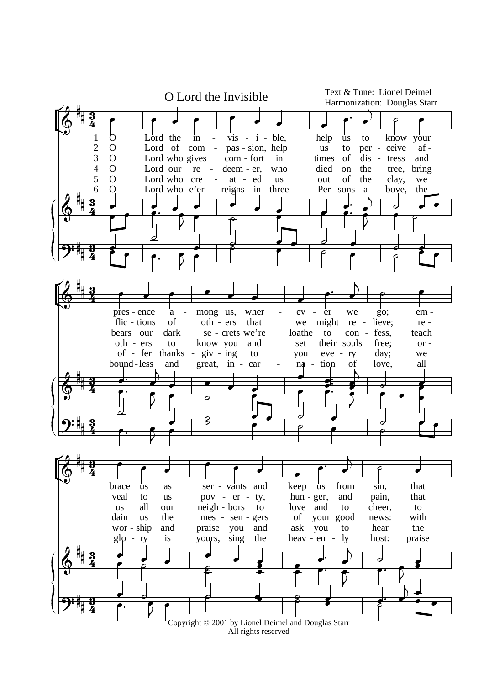

All rights reserved